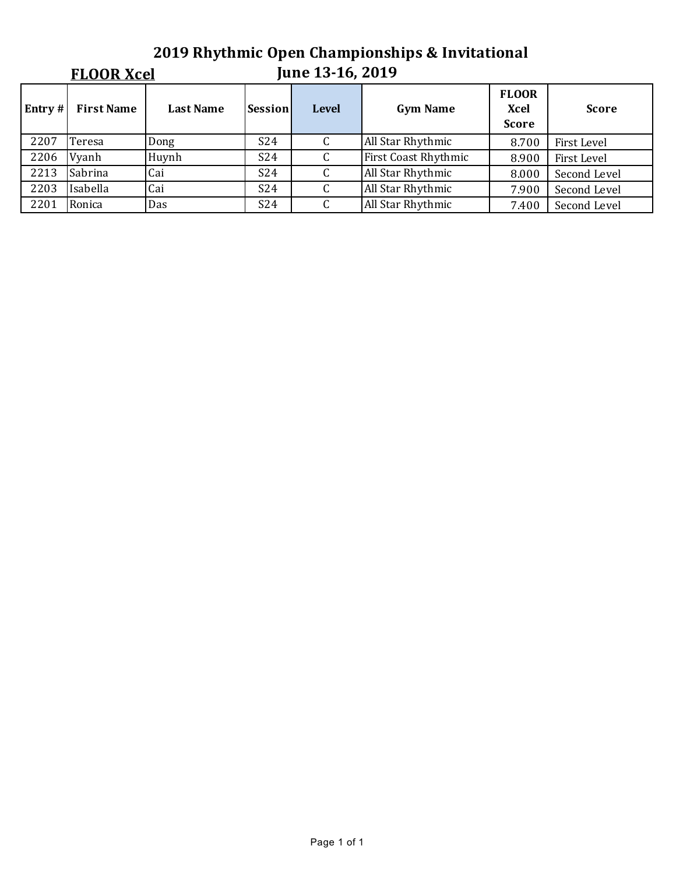# **2019 Rhythmic Open Championships & Invitational**

## **FLOOR Xcel**

### **June 13-16, 2019**

| Entry# | <b>First Name</b> | <b>Last Name</b> | Session         | <b>Level</b> | <b>Gym Name</b>             | <b>FLOOR</b><br>Xcel<br><b>Score</b> | <b>Score</b> |
|--------|-------------------|------------------|-----------------|--------------|-----------------------------|--------------------------------------|--------------|
| 2207   | Teresa            | Dong             | S <sub>24</sub> |              | All Star Rhythmic           | 8.700                                | First Level  |
| 2206   | Vyanh             | Huynh            | S <sub>24</sub> |              | <b>First Coast Rhythmic</b> | 8.900                                | First Level  |
| 2213   | Sabrina           | Cai              | S <sub>24</sub> |              | All Star Rhythmic           | 8.000                                | Second Level |
| 2203   | Isabella          | Cai              | S <sub>24</sub> |              | All Star Rhythmic           | 7.900                                | Second Level |
| 2201   | Ronica            | Das              | S <sub>24</sub> |              | All Star Rhythmic           | 7.400                                | Second Level |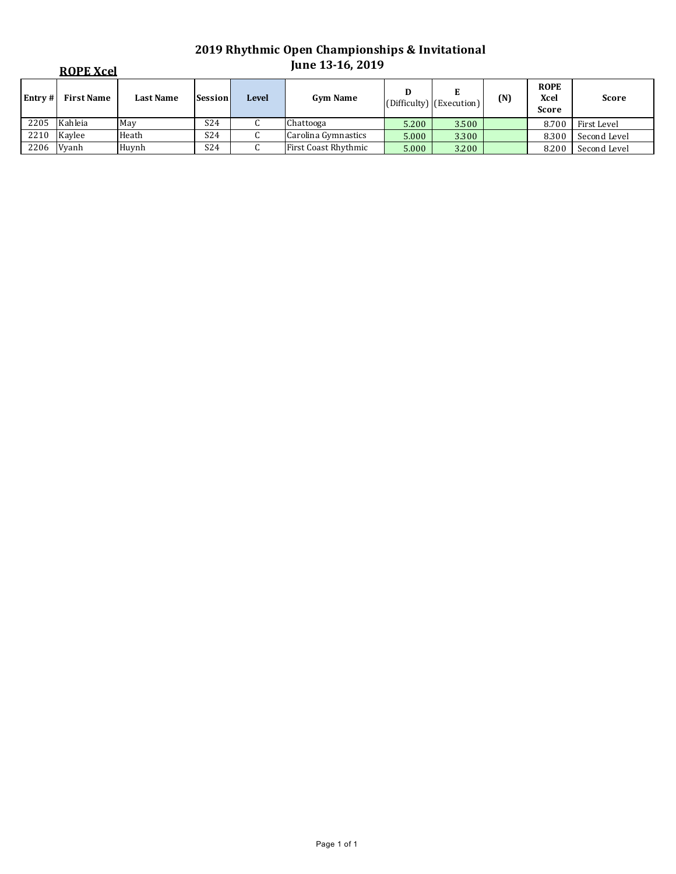|         | <b>ROPE Xcel</b>  |                  |                 |              | June 13-16, 2019     |       |                          |     |                                            |              |
|---------|-------------------|------------------|-----------------|--------------|----------------------|-------|--------------------------|-----|--------------------------------------------|--------------|
| Entry # | <b>First Name</b> | <b>Last Name</b> | <b>Session</b>  | <b>Level</b> | <b>Gym Name</b>      | D     | (Difficulty) (Execution) | (N) | <b>ROPE</b><br><b>Xcel</b><br><b>Score</b> | <b>Score</b> |
| 2205    | Kahleia           | May              | S <sub>24</sub> | ι.           | Chattooga            | 5.200 | 3.500                    |     | 8.700                                      | First Level  |
| 2210    | Kavlee            | Heath            | S <sub>24</sub> | ◡            | Carolina Gymnastics  | 5.000 | 3.300                    |     | 8.300                                      | Second Level |
| 2206    | Vyanh             | Huvnh            | S <sub>24</sub> | ◡            | First Coast Rhythmic | 5.000 | 3.200                    |     | 8.200                                      | Second Level |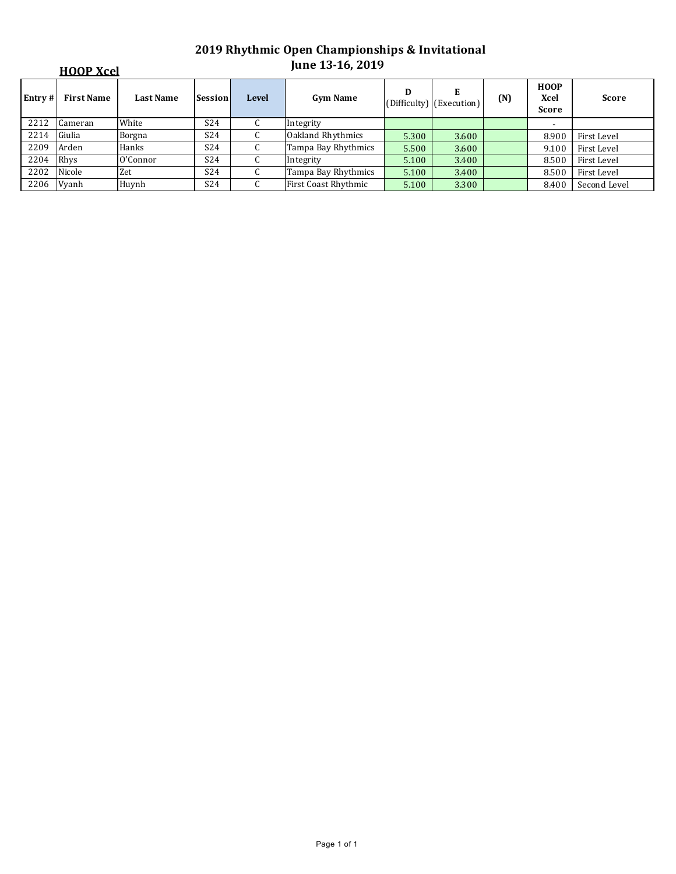|         | <b>HOOP Xcel</b>  |                  |                 |              | June 13-16, 2019     |       |                               |     |                                     |              |
|---------|-------------------|------------------|-----------------|--------------|----------------------|-------|-------------------------------|-----|-------------------------------------|--------------|
| Entry # | <b>First Name</b> | <b>Last Name</b> | Session         | <b>Level</b> | <b>Gym Name</b>      | D     | Е<br>(Difficulty) (Execution) | (N) | <b>HOOP</b><br>Xcel<br><b>Score</b> | <b>Score</b> |
| 2212    | Cameran           | White            | S <sub>24</sub> | U            | Integrity            |       |                               |     |                                     |              |
| 2214    | Giulia            | Borgna           | S <sub>24</sub> | U            | Oakland Rhythmics    | 5.300 | 3.600                         |     | 8.900                               | First Level  |
| 2209    | Arden             | Hanks            | S <sub>24</sub> | U            | Tampa Bay Rhythmics  | 5.500 | 3.600                         |     | 9.100                               | First Level  |
| 2204    | Rhys              | O'Connor         | S <sub>24</sub> | U            | Integrity            | 5.100 | 3.400                         |     | 8.500                               | First Level  |
| 2202    | Nicole            | Zet              | S <sub>24</sub> | U            | Tampa Bay Rhythmics  | 5.100 | 3.400                         |     | 8.500                               | First Level  |
| 2206    | Vyanh             | Huynh            | S <sub>24</sub> | C            | First Coast Rhythmic | 5.100 | 3.300                         |     | 8.400                               | Second Level |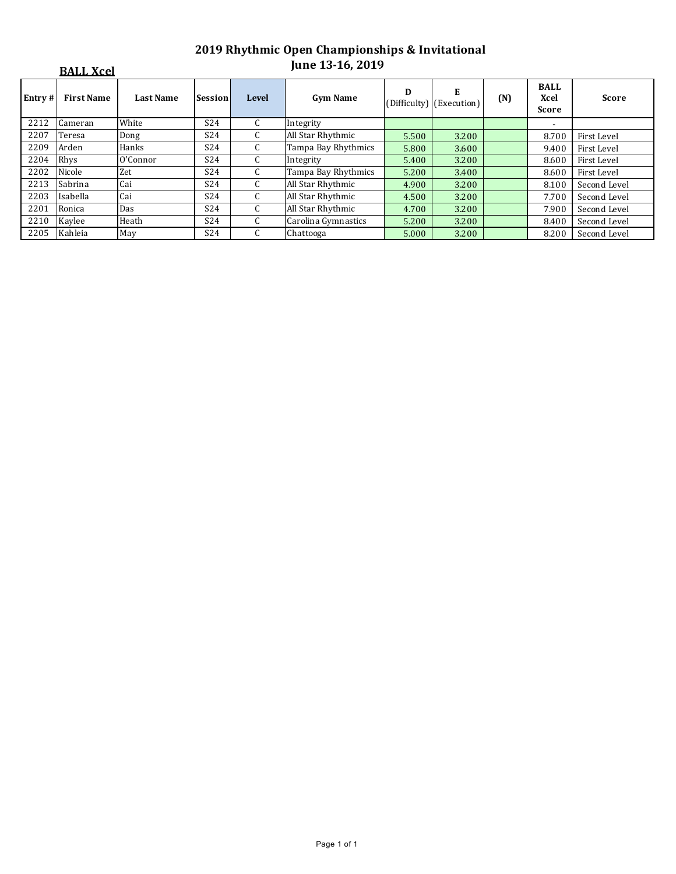|        | <b>BALL Xcel</b>  |                  |                 |              | June 13-16, 2019    |       |                               |     |                              |              |
|--------|-------------------|------------------|-----------------|--------------|---------------------|-------|-------------------------------|-----|------------------------------|--------------|
| Entry# | <b>First Name</b> | <b>Last Name</b> | Session         | <b>Level</b> | <b>Gym Name</b>     | D     | Е<br>(Difficulty) (Execution) | (N) | <b>BALL</b><br>Xcel<br>Score | <b>Score</b> |
| 2212   | Cameran           | White            | S <sub>24</sub> | C.           | Integrity           |       |                               |     | $\overline{\phantom{a}}$     |              |
| 2207   | Teresa            | Dong             | S <sub>24</sub> | C            | All Star Rhythmic   | 5.500 | 3.200                         |     | 8.700                        | First Level  |
| 2209   | Arden             | Hanks            | S24             | C            | Tampa Bay Rhythmics | 5.800 | 3.600                         |     | 9.400                        | First Level  |
| 2204   | Rhys              | O'Connor         | S <sub>24</sub> | $\mathsf{C}$ | Integrity           | 5.400 | 3.200                         |     | 8.600                        | First Level  |
| 2202   | Nicole            | Zet              | S24             | C            | Tampa Bay Rhythmics | 5.200 | 3.400                         |     | 8.600                        | First Level  |
| 2213   | Sabrina           | Cai              | S24             | C.           | All Star Rhythmic   | 4.900 | 3.200                         |     | 8.100                        | Second Level |
| 2203   | Isabella          | Cai              | S <sub>24</sub> | C.           | All Star Rhythmic   | 4.500 | 3.200                         |     | 7.700                        | Second Level |
| 2201   | Ronica            | Das              | S <sub>24</sub> | $\mathsf{C}$ | All Star Rhythmic   | 4.700 | 3.200                         |     | 7.900                        | Second Level |
| 2210   | Kaylee            | Heath            | S <sub>24</sub> | C.           | Carolina Gymnastics | 5.200 | 3.200                         |     | 8.400                        | Second Level |
| 2205   | Kahleia           | May              | S24             | C            | Chattooga           | 5.000 | 3.200                         |     | 8.200                        | Second Level |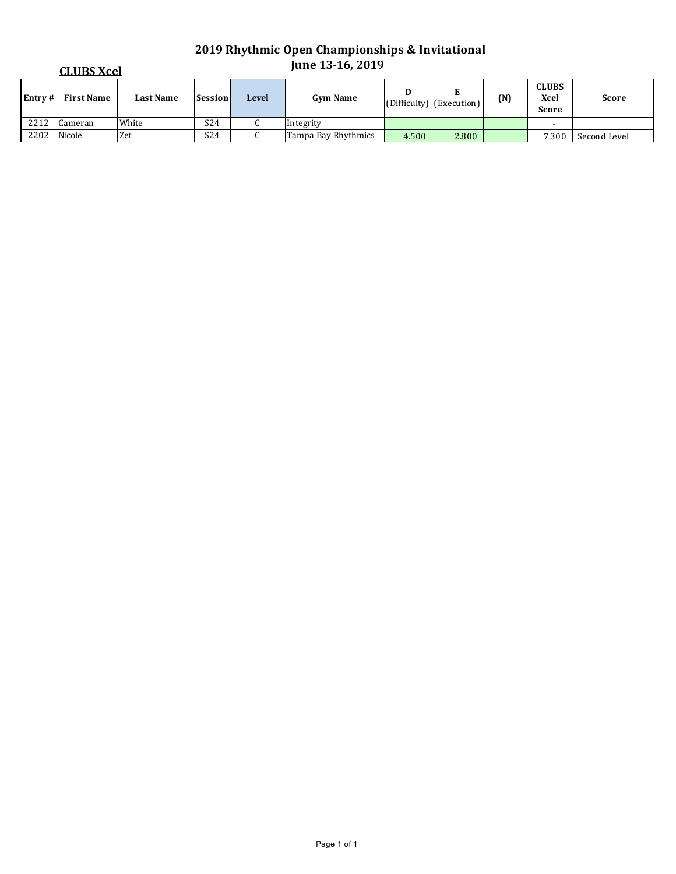|         | <b>CLUBS Xcel</b> |                  |                 |              | <b>June 13-16, 2019</b> |       |                               |     |                                      |              |
|---------|-------------------|------------------|-----------------|--------------|-------------------------|-------|-------------------------------|-----|--------------------------------------|--------------|
| Entry # | <b>First Name</b> | <b>Last Name</b> | Session         | <b>Level</b> | <b>Gym Name</b>         | D     | E<br>(Difficulty) (Execution) | (N) | <b>CLUBS</b><br>Xcel<br><b>Score</b> | <b>Score</b> |
| 2212    | Cameran           | White            | S <sub>24</sub> | u            | Integrity               |       |                               |     |                                      |              |
| 2202    | Nicole            | Zet              | S24             |              | Tampa Bay Rhythmics     | 4.500 | 2.800                         |     | 7.300                                | Second Level |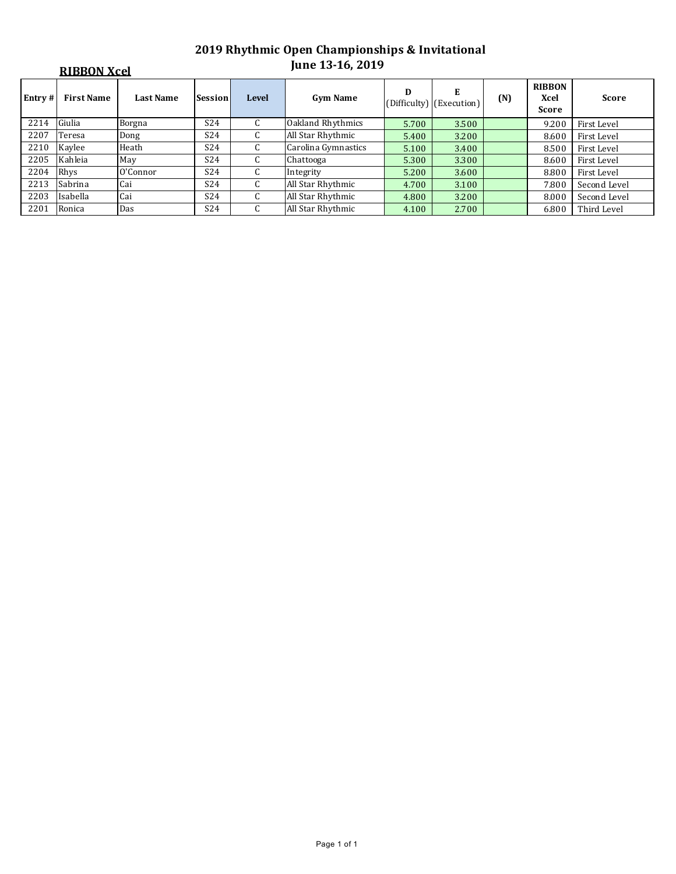|        | <b>RIBBON Xcel</b> |                  |                 |                  | <b>June 13-16, 2019</b> |       |                               |     |                                              |              |  |
|--------|--------------------|------------------|-----------------|------------------|-------------------------|-------|-------------------------------|-----|----------------------------------------------|--------------|--|
| Entry# | <b>First Name</b>  | <b>Last Name</b> | Session         | <b>Level</b>     | <b>Gym Name</b>         | D     | E<br>(Difficulty) (Execution) | (N) | <b>RIBBON</b><br><b>Xcel</b><br><b>Score</b> | <b>Score</b> |  |
| 2214   | Giulia             | Borgna           | S <sub>24</sub> | C                | Oakland Rhythmics       | 5.700 | 3.500                         |     | 9.200                                        | First Level  |  |
| 2207   | Teresa             | Dong             | S <sub>24</sub> | C                | All Star Rhythmic       | 5.400 | 3.200                         |     | 8.600                                        | First Level  |  |
| 2210   | Kaylee             | Heath            | S <sub>24</sub> | C                | Carolina Gymnastics     | 5.100 | 3.400                         |     | 8.500                                        | First Level  |  |
| 2205   | Kahleia            | May              | S <sub>24</sub> | C                | Chattooga               | 5.300 | 3.300                         |     | 8.600                                        | First Level  |  |
| 2204   | Rhys               | O'Connor         | S <sub>24</sub> | U.               | Integrity               | 5.200 | 3.600                         |     | 8.800                                        | First Level  |  |
| 2213   | Sabrina            | Cai              | S <sub>24</sub> | ι.               | All Star Rhythmic       | 4.700 | 3.100                         |     | 7.800                                        | Second Level |  |
| 2203   | Isabella           | Cai              | S <sub>24</sub> | $\sqrt{ }$<br>Ċ. | All Star Rhythmic       | 4.800 | 3.200                         |     | 8.000                                        | Second Level |  |
| 2201   | Ronica             | Das              | S <sub>24</sub> | Ċ.               | All Star Rhythmic       | 4.100 | 2.700                         |     | 6.800                                        | Third Level  |  |